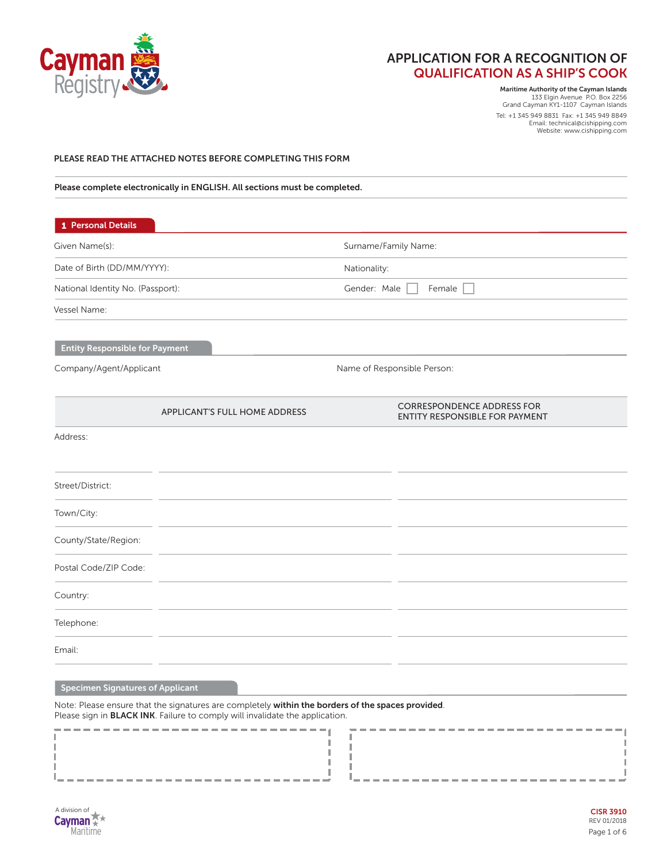

**Maritime Authority of the Cayman Islands** 133 Elgin Avenue P.O. Box 2256 Grand Cayman KY1-1107 Cayman Islands Tel: +1 345 949 8831 Fax: +1 345 949 8849 Email: technical@cishipping.com

Website: www.cishipping.com

### **PLEASE READ THE ATTACHED NOTES BEFORE COMPLETING THIS FORM**

**Please complete electronically in ENGLISH. All sections must be completed.**

| 1 Personal Details                    |                               |                             |                                                                     |  |  |
|---------------------------------------|-------------------------------|-----------------------------|---------------------------------------------------------------------|--|--|
| Given Name(s):                        |                               | Surname/Family Name:        |                                                                     |  |  |
| Date of Birth (DD/MM/YYYY):           |                               | Nationality:                |                                                                     |  |  |
| National Identity No. (Passport):     |                               |                             | Gender: Male<br>Female                                              |  |  |
| Vessel Name:                          |                               |                             |                                                                     |  |  |
| <b>Entity Responsible for Payment</b> |                               |                             |                                                                     |  |  |
| Company/Agent/Applicant               |                               | Name of Responsible Person: |                                                                     |  |  |
|                                       | APPLICANT'S FULL HOME ADDRESS |                             | <b>CORRESPONDENCE ADDRESS FOR</b><br>ENTITY RESPONSIBLE FOR PAYMENT |  |  |
| Address:                              |                               |                             |                                                                     |  |  |
| Street/District:                      |                               |                             |                                                                     |  |  |
| Town/City:                            |                               |                             |                                                                     |  |  |
| County/State/Region:                  |                               |                             |                                                                     |  |  |
| Postal Code/ZIP Code:                 |                               |                             |                                                                     |  |  |
| Country:                              |                               |                             |                                                                     |  |  |
| Telephone:                            |                               |                             |                                                                     |  |  |
| Email:                                |                               |                             |                                                                     |  |  |

Т

I f,

J.

J.

H.

ш

Т

I

# **Specimen Signatures of Applicant**

Note: Please ensure that the signatures are completely **within the borders of the spaces provided**. Please sign in **BLACK INK**. Failure to comply will invalidate the application.

-----------------------------

-------

| A division of |
|---------------|
| <b>Cayman</b> |
| Marifime      |

I

J.

т

Ш

I

Ī

H

I

-----------

-------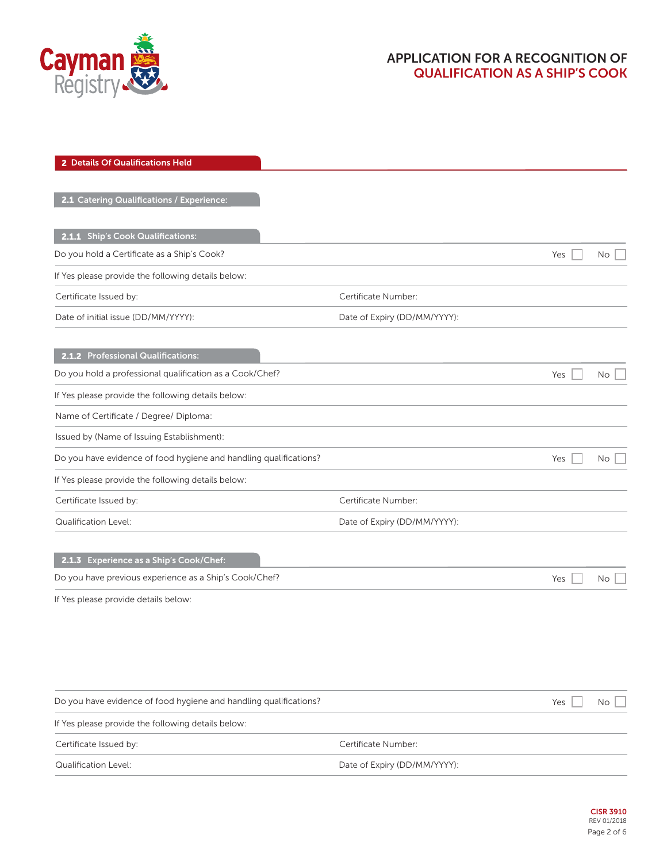

| 2 Details Of Qualifications Held                                  |                              |     |     |
|-------------------------------------------------------------------|------------------------------|-----|-----|
| 2.1 Catering Qualifications / Experience:                         |                              |     |     |
| 2.1.1 Ship's Cook Qualifications:                                 |                              |     |     |
| Do you hold a Certificate as a Ship's Cook?                       |                              | Yes | No  |
| If Yes please provide the following details below:                |                              |     |     |
| Certificate Issued by:                                            | Certificate Number:          |     |     |
| Date of initial issue (DD/MM/YYYY):                               | Date of Expiry (DD/MM/YYYY): |     |     |
| 2.1.2 Professional Qualifications:                                |                              |     |     |
| Do you hold a professional qualification as a Cook/Chef?          |                              | Yes | No. |
| If Yes please provide the following details below:                |                              |     |     |
| Name of Certificate / Degree/ Diploma:                            |                              |     |     |
| Issued by (Name of Issuing Establishment):                        |                              |     |     |
| Do you have evidence of food hygiene and handling qualifications? |                              | Yes | No  |
| If Yes please provide the following details below:                |                              |     |     |
| Certificate Issued by:                                            | Certificate Number:          |     |     |
| Qualification Level:                                              | Date of Expiry (DD/MM/YYYY): |     |     |
| 2.1.3 Experience as a Ship's Cook/Chef:                           |                              |     |     |
| Do you have previous experience as a Ship's Cook/Chef?            |                              | Yes | No. |
| If Yes please provide details below:                              |                              |     |     |
|                                                                   |                              |     |     |
|                                                                   |                              |     |     |
| Do you have evidence of food hygiene and handling qualifications? |                              | Yes | No  |
| If Yes please provide the following details below:                |                              |     |     |
| Certificate Issued by:                                            | Certificate Number:          |     |     |
| Qualification Level:                                              | Date of Expiry (DD/MM/YYYY): |     |     |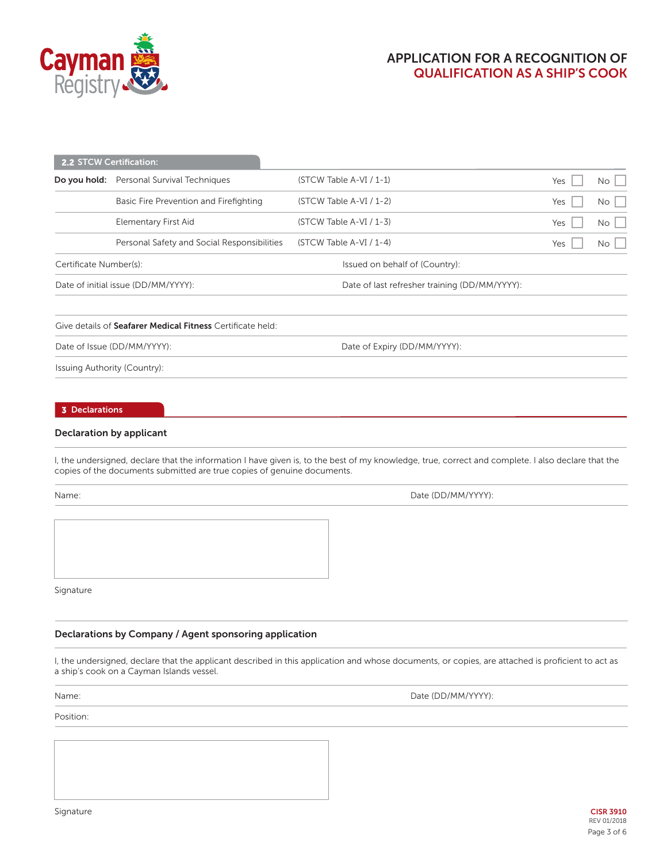

| <b>2.2 STCW Certification:</b> |                                                  |                                               |     |             |
|--------------------------------|--------------------------------------------------|-----------------------------------------------|-----|-------------|
|                                | <b>Do you hold:</b> Personal Survival Techniques | $(STCW Table A-VI / 1-1)$                     | Yes | No          |
|                                | Basic Fire Prevention and Firefighting           | $(STCW Table A-VI / 1-2)$                     | Yes | $No \ \Box$ |
|                                | Elementary First Aid                             | $(STCW Table A-VI / 1-3)$                     | Yes | No          |
|                                | Personal Safety and Social Responsibilities      | $(STCW Table A-VI / 1-4)$                     | Yes | No          |
| Certificate Number(s):         |                                                  | Issued on behalf of (Country):                |     |             |
|                                | Date of initial issue (DD/MM/YYYY):              | Date of last refresher training (DD/MM/YYYY): |     |             |
|                                |                                                  |                                               |     |             |

### Give details of **Seafarer Medical Fitness** Certificate held:

Date of Issue (DD/MM/YYYY): Date of Expiry (DD/MM/YYYY):

Issuing Authority (Country):

#### **3 Declarations**

## **Declaration by applicant**

I, the undersigned, declare that the information I have given is, to the best of my knowledge, true, correct and complete. I also declare that the copies of the documents submitted are true copies of genuine documents.

Name: Date (DD/MM/YYYY):

Signature

## **Declarations by Company / Agent sponsoring application**

I, the undersigned, declare that the applicant described in this application and whose documents, or copies, are attached is proficient to act as a ship's cook on a Cayman Islands vessel.

Name: Position: Date (DD/MM/YYYY):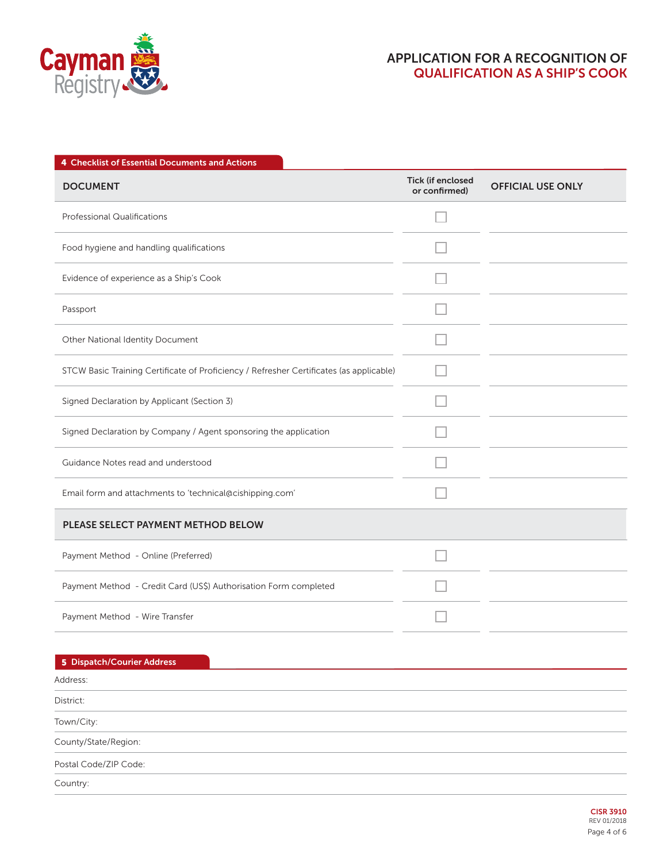

| 4 Checklist of Essential Documents and Actions                                          |                                    |                          |
|-----------------------------------------------------------------------------------------|------------------------------------|--------------------------|
| <b>DOCUMENT</b>                                                                         | Tick (if enclosed<br>or confirmed) | <b>OFFICIAL USE ONLY</b> |
| <b>Professional Qualifications</b>                                                      |                                    |                          |
| Food hygiene and handling qualifications                                                |                                    |                          |
| Evidence of experience as a Ship's Cook                                                 |                                    |                          |
| Passport                                                                                |                                    |                          |
| Other National Identity Document                                                        |                                    |                          |
| STCW Basic Training Certificate of Proficiency / Refresher Certificates (as applicable) |                                    |                          |
| Signed Declaration by Applicant (Section 3)                                             |                                    |                          |
| Signed Declaration by Company / Agent sponsoring the application                        |                                    |                          |
| Guidance Notes read and understood                                                      |                                    |                          |
| Email form and attachments to 'technical@cishipping.com'                                |                                    |                          |
| PLEASE SELECT PAYMENT METHOD BELOW                                                      |                                    |                          |
| Payment Method - Online (Preferred)                                                     |                                    |                          |
| Payment Method - Credit Card (US\$) Authorisation Form completed                        |                                    |                          |
| Payment Method - Wire Transfer                                                          |                                    |                          |
|                                                                                         |                                    |                          |
| 5 Dispatch/Courier Address<br>Address:                                                  |                                    |                          |
| District:                                                                               |                                    |                          |
| Town/City:                                                                              |                                    |                          |
| County/State/Region:                                                                    |                                    |                          |
| Postal Code/ZIP Code:                                                                   |                                    |                          |
| Country:                                                                                |                                    |                          |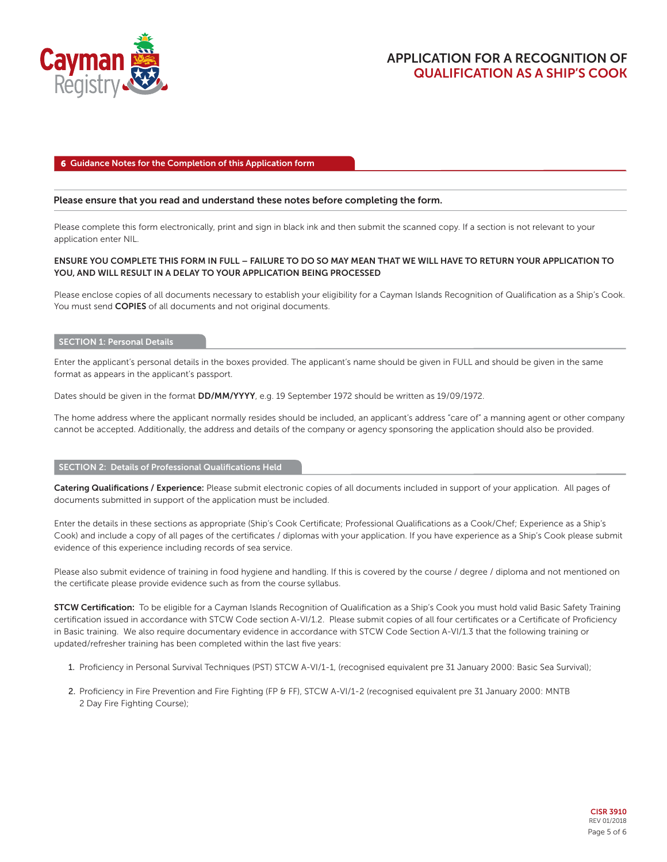

## **6 Guidance Notes for the Completion of this Application form**

### **Please ensure that you read and understand these notes before completing the form.**

Please complete this form electronically, print and sign in black ink and then submit the scanned copy. If a section is not relevant to your application enter NIL.

## **ENSURE YOU COMPLETE THIS FORM IN FULL – FAILURE TO DO SO MAY MEAN THAT WE WILL HAVE TO RETURN YOUR APPLICATION TO YOU, AND WILL RESULT IN A DELAY TO YOUR APPLICATION BEING PROCESSED**

Please enclose copies of all documents necessary to establish your eligibility for a Cayman Islands Recognition of Qualification as a Ship's Cook. You must send **COPIES** of all documents and not original documents.

#### **SECTION 1: Personal Details**

Enter the applicant's personal details in the boxes provided. The applicant's name should be given in FULL and should be given in the same format as appears in the applicant's passport.

Dates should be given in the format **DD/MM/YYYY**, e.g. 19 September 1972 should be written as 19/09/1972.

The home address where the applicant normally resides should be included, an applicant's address "care of" a manning agent or other company cannot be accepted. Additionally, the address and details of the company or agency sponsoring the application should also be provided.

#### **SECTION 2: Details of Professional Qualifications Held**

**Catering Qualifications / Experience:** Please submit electronic copies of all documents included in support of your application. All pages of documents submitted in support of the application must be included.

Enter the details in these sections as appropriate (Ship's Cook Certificate; Professional Qualifications as a Cook/Chef; Experience as a Ship's Cook) and include a copy of all pages of the certificates / diplomas with your application. If you have experience as a Ship's Cook please submit evidence of this experience including records of sea service.

Please also submit evidence of training in food hygiene and handling. If this is covered by the course / degree / diploma and not mentioned on the certificate please provide evidence such as from the course syllabus.

**STCW Certification:** To be eligible for a Cayman Islands Recognition of Qualification as a Ship's Cook you must hold valid Basic Safety Training certification issued in accordance with STCW Code section A-VI/1.2. Please submit copies of all four certificates or a Certificate of Proficiency in Basic training. We also require documentary evidence in accordance with STCW Code Section A-VI/1.3 that the following training or updated/refresher training has been completed within the last five years:

- 1. Proficiency in Personal Survival Techniques (PST) STCW A-VI/1-1, (recognised equivalent pre 31 January 2000: Basic Sea Survival);
- 2. Proficiency in Fire Prevention and Fire Fighting (FP & FF), STCW A-VI/1-2 (recognised equivalent pre 31 January 2000: MNTB 2 Day Fire Fighting Course);